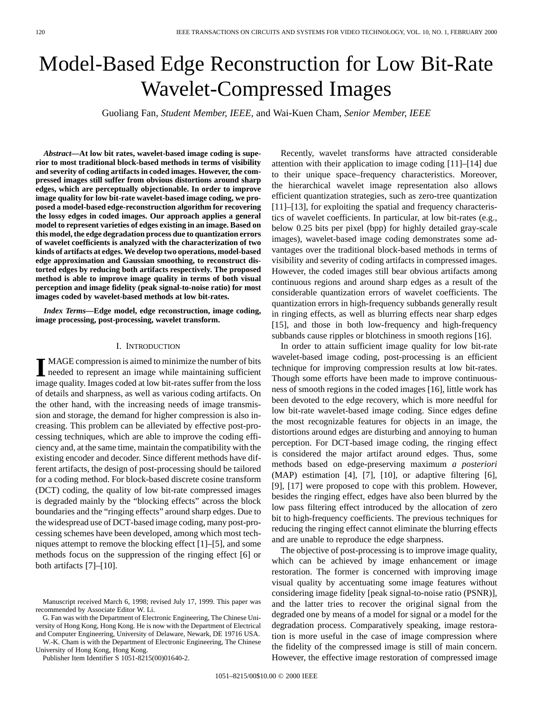# Model-Based Edge Reconstruction for Low Bit-Rate Wavelet-Compressed Images

Guoliang Fan*, Student Member, IEEE,* and Wai-Kuen Cham*, Senior Member, IEEE*

*Abstract—***At low bit rates, wavelet-based image coding is superior to most traditional block-based methods in terms of visibility and severity of coding artifacts in coded images. However, the compressed images still suffer from obvious distortions around sharp edges, which are perceptually objectionable. In order to improve image quality for low bit-rate wavelet-based image coding, we proposed a model-based edge-reconstruction algorithm for recovering the lossy edges in coded images. Our approach applies a general model to represent varieties of edges existing in an image. Based on this model, the edge degradation process due to quantization errors of wavelet coefficients is analyzed with the characterization of two kinds of artifacts at edges. We develop two operations, model-based edge approximation and Gaussian smoothing, to reconstruct distorted edges by reducing both artifacts respectively. The proposed method is able to improve image quality in terms of both visual perception and image fidelity (peak signal-to-noise ratio) for most images coded by wavelet-based methods at low bit-rates.**

*Index Terms—***Edge model, edge reconstruction, image coding, image processing, post-processing, wavelet transform.**

## I. INTRODUCTION

I**I** MAGE compression is aimed to minimize the number of bits<br>needed to represent an image while maintaining sufficient<br>image sublity Images and ad at law bit, takes suffer from the lass image quality. Images coded at low bit-rates suffer from the loss of details and sharpness, as well as various coding artifacts. On the other hand, with the increasing needs of image transmission and storage, the demand for higher compression is also increasing. This problem can be alleviated by effective post-processing techniques, which are able to improve the coding efficiency and, at the same time, maintain the compatibility with the existing encoder and decoder. Since different methods have different artifacts, the design of post-processing should be tailored for a coding method. For block-based discrete cosine transform (DCT) coding, the quality of low bit-rate compressed images is degraded mainly by the "blocking effects" across the block boundaries and the "ringing effects" around sharp edges. Due to the widespread use of DCT-based image coding, many post-processing schemes have been developed, among which most techniques attempt to remove the blocking effect [1]–[5], and some methods focus on the suppression of the ringing effect [6] or both artifacts [7]–[10].

G. Fan was with the Department of Electronic Engineering, The Chinese University of Hong Kong, Hong Kong. He is now with the Department of Electrical and Computer Engineering, University of Delaware, Newark, DE 19716 USA.

W.-K. Cham is with the Department of Electronic Engineering, The Chinese University of Hong Kong, Hong Kong.

Publisher Item Identifier S 1051-8215(00)01640-2.

Recently, wavelet transforms have attracted considerable attention with their application to image coding [11]–[14] due to their unique space–frequency characteristics. Moreover, the hierarchical wavelet image representation also allows efficient quantization strategies, such as zero-tree quantization [11]–[13], for exploiting the spatial and frequency characteristics of wavelet coefficients. In particular, at low bit-rates (e.g., below 0.25 bits per pixel (bpp) for highly detailed gray-scale images), wavelet-based image coding demonstrates some advantages over the traditional block-based methods in terms of visibility and severity of coding artifacts in compressed images. However, the coded images still bear obvious artifacts among continuous regions and around sharp edges as a result of the considerable quantization errors of wavelet coefficients. The quantization errors in high-frequency subbands generally result in ringing effects, as well as blurring effects near sharp edges [15], and those in both low-frequency and high-frequency subbands cause ripples or blotchiness in smooth regions [16].

In order to attain sufficient image quality for low bit-rate wavelet-based image coding, post-processing is an efficient technique for improving compression results at low bit-rates. Though some efforts have been made to improve continuousness of smooth regions in the coded images [16], little work has been devoted to the edge recovery, which is more needful for low bit-rate wavelet-based image coding. Since edges define the most recognizable features for objects in an image, the distortions around edges are disturbing and annoying to human perception. For DCT-based image coding, the ringing effect is considered the major artifact around edges. Thus, some methods based on edge-preserving maximum *a posteriori* (MAP) estimation [4], [7], [10], or adaptive filtering [6], [9], [17] were proposed to cope with this problem. However, besides the ringing effect, edges have also been blurred by the low pass filtering effect introduced by the allocation of zero bit to high-frequency coefficients. The previous techniques for reducing the ringing effect cannot eliminate the blurring effects and are unable to reproduce the edge sharpness.

The objective of post-processing is to improve image quality, which can be achieved by image enhancement or image restoration. The former is concerned with improving image visual quality by accentuating some image features without considering image fidelity [peak signal-to-noise ratio (PSNR)], and the latter tries to recover the original signal from the degraded one by means of a model for signal or a model for the degradation process. Comparatively speaking, image restoration is more useful in the case of image compression where the fidelity of the compressed image is still of main concern. However, the effective image restoration of compressed image

Manuscript received March 6, 1998; revised July 17, 1999. This paper was recommended by Associate Editor W. Li.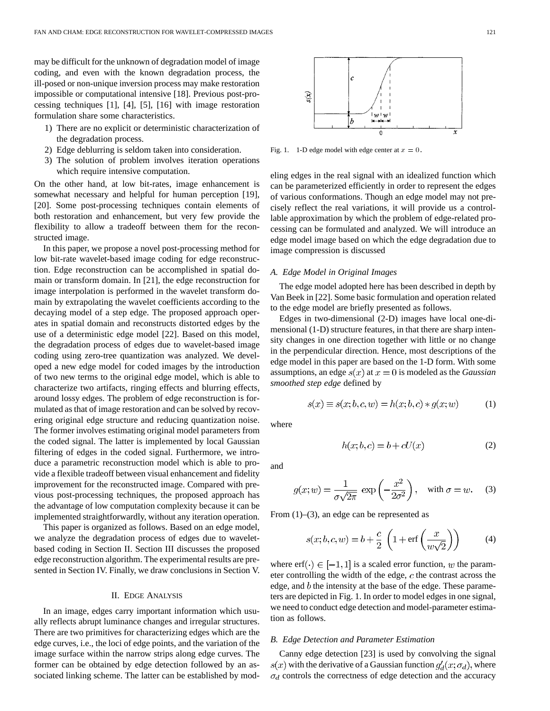may be difficult for the unknown of degradation model of image coding, and even with the known degradation process, the ill-posed or non-unique inversion process may make restoration impossible or computational intensive [18]. Previous post-processing techniques [1], [4], [5], [16] with image restoration formulation share some characteristics.

- 1) There are no explicit or deterministic characterization of the degradation process.
- 2) Edge deblurring is seldom taken into consideration.
- 3) The solution of problem involves iteration operations which require intensive computation.

On the other hand, at low bit-rates, image enhancement is somewhat necessary and helpful for human perception [19], [20]. Some post-processing techniques contain elements of both restoration and enhancement, but very few provide the flexibility to allow a tradeoff between them for the reconstructed image.

In this paper, we propose a novel post-processing method for low bit-rate wavelet-based image coding for edge reconstruction. Edge reconstruction can be accomplished in spatial domain or transform domain. In [21], the edge reconstruction for image interpolation is performed in the wavelet transform domain by extrapolating the wavelet coefficients according to the decaying model of a step edge. The proposed approach operates in spatial domain and reconstructs distorted edges by the use of a deterministic edge model [22]. Based on this model, the degradation process of edges due to wavelet-based image coding using zero-tree quantization was analyzed. We developed a new edge model for coded images by the introduction of two new terms to the original edge model, which is able to characterize two artifacts, ringing effects and blurring effects, around lossy edges. The problem of edge reconstruction is formulated as that of image restoration and can be solved by recovering original edge structure and reducing quantization noise. The former involves estimating original model parameters from the coded signal. The latter is implemented by local Gaussian filtering of edges in the coded signal. Furthermore, we introduce a parametric reconstruction model which is able to provide a flexible tradeoff between visual enhancement and fidelity improvement for the reconstructed image. Compared with previous post-processing techniques, the proposed approach has the advantage of low computation complexity because it can be implemented straightforwardly, without any iteration operation.

This paper is organized as follows. Based on an edge model, we analyze the degradation process of edges due to waveletbased coding in Section II. Section III discusses the proposed edge reconstruction algorithm. The experimental results are presented in Section IV. Finally, we draw conclusions in Section V.

#### II. EDGE ANALYSIS

In an image, edges carry important information which usually reflects abrupt luminance changes and irregular structures. There are two primitives for characterizing edges which are the edge curves, i.e., the loci of edge points, and the variation of the image surface within the narrow strips along edge curves. The former can be obtained by edge detection followed by an associated linking scheme. The latter can be established by mod-



Fig. 1. 1-D edge model with edge center at  $x = 0$ .

eling edges in the real signal with an idealized function which can be parameterized efficiently in order to represent the edges of various conformations. Though an edge model may not precisely reflect the real variations, it will provide us a controllable approximation by which the problem of edge-related processing can be formulated and analyzed. We will introduce an edge model image based on which the edge degradation due to image compression is discussed

#### *A. Edge Model in Original Images*

The edge model adopted here has been described in depth by Van Beek in [22]. Some basic formulation and operation related to the edge model are briefly presented as follows.

Edges in two-dimensional (2-D) images have local one-dimensional (1-D) structure features, in that there are sharp intensity changes in one direction together with little or no change in the perpendicular direction. Hence, most descriptions of the edge model in this paper are based on the 1-D form. With some assumptions, an edge  $s(x)$  at  $x = 0$  is modeled as the *Gaussian smoothed step edge* defined by

$$
s(x) \equiv s(x;b,c,w) = h(x;b,c) * g(x;w)
$$
 (1)

where

$$
h(x;b,c) = b + cU(x)
$$
 (2)

and

$$
g(x; w) = \frac{1}{\sigma\sqrt{2\pi}} \exp\left(-\frac{x^2}{2\sigma^2}\right), \quad \text{with } \sigma = w. \tag{3}
$$

From  $(1)$ – $(3)$ , an edge can be represented as

$$
s(x; b, c, w) = b + \frac{c}{2} \left( 1 + \text{erf}\left(\frac{x}{w\sqrt{2}}\right) \right) \tag{4}
$$

where erf( $\cdot$ )  $\in$  [-1, 1] is a scaled error function, w the parameter controlling the width of the edge,  $c$  the contrast across the edge, and  $b$  the intensity at the base of the edge. These parameters are depicted in Fig. 1. In order to model edges in one signal, we need to conduct edge detection and model-parameter estimation as follows.

## *B. Edge Detection and Parameter Estimation*

Canny edge detection [23] is used by convolving the signal  $s(x)$  with the derivative of a Gaussian function  $g'_d(x; \sigma_d)$ , where  $\sigma_d$  controls the correctness of edge detection and the accuracy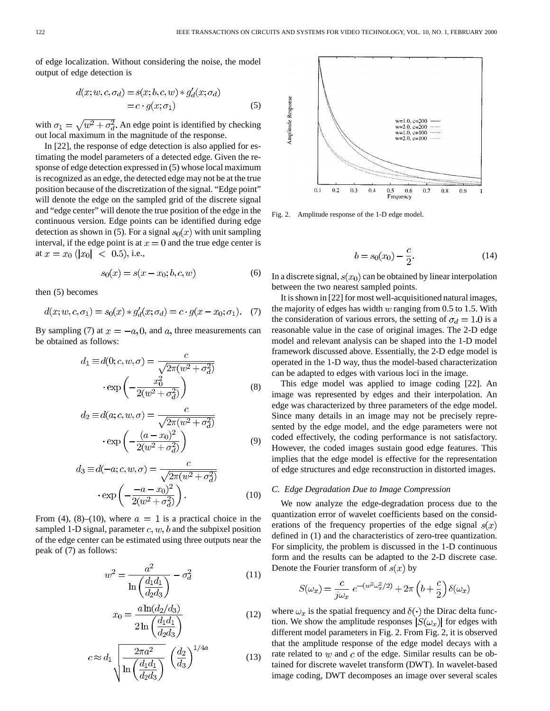of edge localization. Without considering the noise, the model output of edge detection is

$$
d(x; w, c, \sigma_d) = s(x; b, c, w) * g_d'(x; \sigma_d)
$$
  
=  $c \cdot g(x; \sigma_1)$  (5)

with  $\sigma_1 = \sqrt{w^2 + \sigma_d^2}$ . An edge point is identified by checking out local maximum in the magnitude of the response.

In [22], the response of edge detection is also applied for estimating the model parameters of a detected edge. Given the response of edge detection expressed in (5) whose local maximum is recognized as an edge, the detected edge may not be at the true position because of the discretization of the signal. "Edge point" will denote the edge on the sampled grid of the discrete signal and "edge center" will denote the true position of the edge in the continuous version. Edge points can be identified during edge detection as shown in (5). For a signal  $s<sub>0</sub>(x)$  with unit sampling interval, if the edge point is at  $x = 0$  and the true edge center is at  $x = x_0$  (|x<sub>0</sub>| < 0.5), i.e.,

$$
s_0(x) = s(x - x_0; b, c, w)
$$
 (6)

then (5) becomes

$$
d(x; w, c, \sigma_1) = s_0(x) * g'_d(x; \sigma_d) = c \cdot g(x - x_0; \sigma_1). \tag{7}
$$

By sampling (7) at  $x = -a, 0$ , and a, three measurements can be obtained as follows:

$$
d_1 \equiv d(0; c, w, \sigma) = \frac{c}{\sqrt{2\pi(w^2 + \sigma_d^2)}}
$$

$$
\cdot \exp\left(-\frac{x_0^2}{2(w^2 + \sigma_d^2)}\right) \tag{8}
$$

$$
d_2 \equiv d(a; c, w, \sigma) = \frac{c}{\sqrt{2\pi(w^2 + \sigma_d^2)}}
$$

$$
\cdot \exp\left(-\frac{(a - x_0)^2}{2(w^2 + \sigma_d^2)}\right) \tag{9}
$$

$$
d_3 \equiv d(-a; c, w, \sigma) = \frac{c}{\sqrt{2\pi(w^2 + \sigma_d^2)}}
$$

$$
\cdot \exp\left(-\frac{-a - x_0)^2}{2(w^2 + \sigma_d^2)}\right). \tag{10}
$$

From (4), (8)–(10), where  $a = 1$  is a practical choice in the sampled 1-D signal, parameter  $c, w, b$  and the subpixel position of the edge center can be estimated using three outputs near the peak of (7) as follows:

$$
w^{2} = \frac{a^{2}}{\ln\left(\frac{d_{1}d_{1}}{d_{2}d_{2}}\right)} - \sigma_{d}^{2}
$$
 (11)

$$
x_0 = \frac{a \ln(d_2/d_3)}{2 \ln\left(\frac{d_1 d_1}{d_2 d_3}\right)}\tag{12}
$$

$$
c \approx d_1 \sqrt{\frac{2\pi a^2}{\ln\left(\frac{d_1 d_1}{d_2 d_3}\right)}} \left(\frac{d_2}{d_3}\right)^{1/4a} \tag{13}
$$



Fig. 2. Amplitude response of the 1-D edge model.

$$
b = s_0(x_0) - \frac{c}{2}.\tag{14}
$$

In a discrete signal,  $s(x_0)$  can be obtained by linear interpolation between the two nearest sampled points.

It is shown in [22] for most well-acquisitioned natural images, the majority of edges has width  $w$  ranging from 0.5 to 1.5. With the consideration of various errors, the setting of  $\sigma_d = 1.0$  is a reasonable value in the case of original images. The 2-D edge model and relevant analysis can be shaped into the 1-D model framework discussed above. Essentially, the 2-D edge model is operated in the 1-D way, thus the model-based characterization can be adapted to edges with various loci in the image.

This edge model was applied to image coding [22]. An image was represented by edges and their interpolation. An edge was characterized by three parameters of the edge model. Since many details in an image may not be precisely represented by the edge model, and the edge parameters were not coded effectively, the coding performance is not satisfactory. However, the coded images sustain good edge features. This implies that the edge model is effective for the representation of edge structures and edge reconstruction in distorted images.

#### *C. Edge Degradation Due to Image Compression*

We now analyze the edge-degradation process due to the quantization error of wavelet coefficients based on the considerations of the frequency properties of the edge signal  $s(x)$ defined in (1) and the characteristics of zero-tree quantization. For simplicity, the problem is discussed in the 1-D continuous form and the results can be adapted to the 2-D discrete case. Denote the Fourier transform of  $s(x)$  by

$$
S(\omega_x) = \frac{c}{j\omega_x} e^{-(w^2 \omega_x^2/2)} + 2\pi \left(b + \frac{c}{2}\right) \delta(\omega_x)
$$

where  $\omega_x$  is the spatial frequency and  $\delta(\cdot)$  the Dirac delta function. We show the amplitude responses  $|S(\omega_x)|$  for edges with different model parameters in Fig. 2. From Fig. 2, it is observed that the amplitude response of the edge model decays with a rate related to  $w$  and  $c$  of the edge. Similar results can be obtained for discrete wavelet transform (DWT). In wavelet-based image coding, DWT decomposes an image over several scales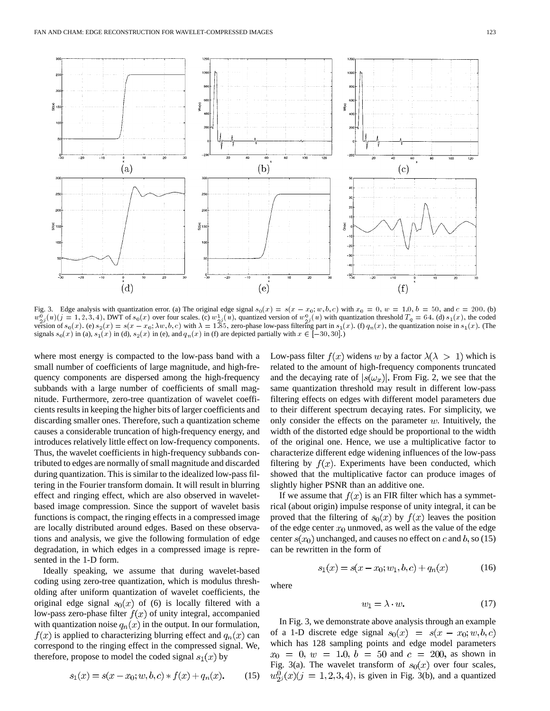

Fig. 3. Edge analysis with quantization error. (a) The original edge signal  $s_0(x) = s(x - x_0; w, b, c)$  with  $x_0 = 0, w = 1.0, b = 50$ , and  $c = 200$ . (b)  $w_{2i}^0(u)(j = 1, 2, 3, 4)$ , DWT of  $s_0(x)$  over four scales. (c)  $w_{2i}^1(u)$ , quantized version of  $w_{2i}^0(u)$  with quantization threshold  $T_q = 64$ . (d)  $s_1(x)$ , the coded version of  $s_0(x)$ . (e)  $s_2(x) = s(x - x_0; \lambda w, b, c)$  with  $\lambda = 1.85$ , zero-phase low-pass filtering part in  $s_1(x)$ . (f)  $q_n(x)$ , the quantization noise in  $s_1(x)$ . (The signals  $s_0(x)$  in (a),  $s_1(x)$  in (d),  $s_2(x)$  in (e), and  $q_n(x)$  in (f) are depicted partially with  $x \in [-30, 30]$ .)

where most energy is compacted to the low-pass band with a small number of coefficients of large magnitude, and high-frequency components are dispersed among the high-frequency subbands with a large number of coefficients of small magnitude. Furthermore, zero-tree quantization of wavelet coefficients results in keeping the higher bits of larger coefficients and discarding smaller ones. Therefore, such a quantization scheme causes a considerable truncation of high-frequency energy, and introduces relatively little effect on low-frequency components. Thus, the wavelet coefficients in high-frequency subbands contributed to edges are normally of small magnitude and discarded during quantization. This is similar to the idealized low-pass filtering in the Fourier transform domain. It will result in blurring effect and ringing effect, which are also observed in waveletbased image compression. Since the support of wavelet basis functions is compact, the ringing effects in a compressed image are locally distributed around edges. Based on these observations and analysis, we give the following formulation of edge degradation, in which edges in a compressed image is represented in the 1-D form.

Ideally speaking, we assume that during wavelet-based coding using zero-tree quantization, which is modulus thresholding after uniform quantization of wavelet coefficients, the original edge signal  $s_0(x)$  of (6) is locally filtered with a low-pass zero-phase filter  $f(x)$  of unity integral, accompanied with quantization noise  $q_n(x)$  in the output. In our formulation,  $f(x)$  is applied to characterizing blurring effect and  $q_n(x)$  can correspond to the ringing effect in the compressed signal. We, therefore, propose to model the coded signal  $s_1(x)$  by

$$
s_1(x) = s(x - x_0; w, b, c) * f(x) + q_n(x). \tag{15}
$$

Low-pass filter  $f(x)$  widens w by a factor  $\lambda(\lambda > 1)$  which is related to the amount of high-frequency components truncated and the decaying rate of  $|s(\omega_x)|$ . From Fig. 2, we see that the same quantization threshold may result in different low-pass filtering effects on edges with different model parameters due to their different spectrum decaying rates. For simplicity, we only consider the effects on the parameter  $w$ . Intuitively, the width of the distorted edge should be proportional to the width of the original one. Hence, we use a multiplicative factor to characterize different edge widening influences of the low-pass filtering by  $f(x)$ . Experiments have been conducted, which showed that the multiplicative factor can produce images of slightly higher PSNR than an additive one.

If we assume that  $f(x)$  is an FIR filter which has a symmetrical (about origin) impulse response of unity integral, it can be proved that the filtering of  $s_0(x)$  by  $f(x)$  leaves the position of the edge center  $x_0$  unmoved, as well as the value of the edge center  $s(x_0)$  unchanged, and causes no effect on c and b, so (15) can be rewritten in the form of

$$
s_1(x) = s(x - x_0; w_1, b, c) + q_n(x) \tag{16}
$$

where

$$
w_1 = \lambda \cdot w. \tag{17}
$$

In Fig. 3, we demonstrate above analysis through an example of a 1-D discrete edge signal  $s_0(x) = s(x - x_0; w, b, c)$ which has 128 sampling points and edge model parameters  $x_0 = 0, w = 1.0, b = 50$  and  $c = 200$ , as shown in Fig. 3(a). The wavelet transform of  $s_0(x)$  over four scales,  $w_{2i}^{0}(x)(j = 1,2,3,4)$ , is given in Fig. 3(b), and a quantized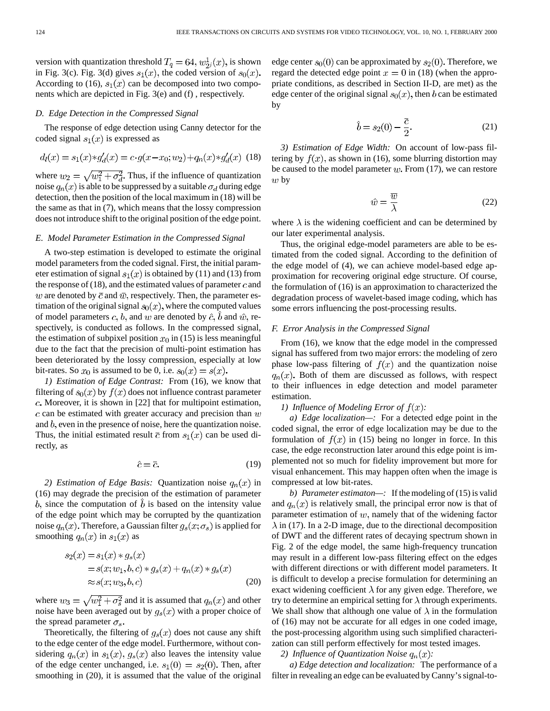version with quantization threshold  $T_q = 64$ ,  $w_{2j}^1(x)$ , is shown in Fig. 3(c). Fig. 3(d) gives  $s_1(x)$ , the coded version of  $s_0(x)$ . According to (16),  $s_1(x)$  can be decomposed into two components which are depicted in Fig. 3(e) and (f) , respectively.

# *D. Edge Detection in the Compressed Signal*

The response of edge detection using Canny detector for the coded signal  $s_1(x)$  is expressed as

$$
d_l(x) = s_1(x) * g'_d(x) = c \cdot g(x - x_0; w_2) + q_n(x) * g'_d(x)
$$
 (18)

where  $w_2 = \sqrt{w_1^2 + \sigma_d^2}$ . Thus, if the influence of quantization noise  $q_n(x)$  is able to be suppressed by a suitable  $\sigma_d$  during edge detection, then the position of the local maximum in (18) will be the same as that in (7), which means that the lossy compression does not introduce shift to the original position of the edge point.

# *E. Model Parameter Estimation in the Compressed Signal*

A two-step estimation is developed to estimate the original model parameters from the coded signal. First, the initial parameter estimation of signal  $s_1(x)$  is obtained by (11) and (13) from the response of (18), and the estimated values of parameter  $c$  and w are denoted by  $\bar{c}$  and  $\bar{w}$ , respectively. Then, the parameter estimation of the original signal  $s_0(x)$ , where the computed values of model parameters c, b, and w are denoted by  $\hat{c}$ ,  $\hat{b}$  and  $\hat{w}$ , respectively, is conducted as follows. In the compressed signal, the estimation of subpixel position  $x_0$  in (15) is less meaningful due to the fact that the precision of multi-point estimation has been deteriorated by the lossy compression, especially at low bit-rates. So  $x_0$  is assumed to be 0, i.e.  $s_0(x) = s(x)$ .

*1) Estimation of Edge Contrast:* From (16), we know that filtering of  $s_0(x)$  by  $f(x)$  does not influence contrast parameter  $c$ . Moreover, it is shown in [22] that for multipoint estimation,  $c$  can be estimated with greater accuracy and precision than  $w$ and  $b$ , even in the presence of noise, here the quantization noise. Thus, the initial estimated result  $\overline{c}$  from  $s_1(x)$  can be used directly, as

$$
\hat{c} = \overline{c}.\tag{19}
$$

2) *Estimation of Edge Basis:* Quantization noise  $q_n(x)$  in (16) may degrade the precision of the estimation of parameter  $b$ , since the computation of  $b$  is based on the intensity value of the edge point which may be corrupted by the quantization noise  $q_n(x)$ . Therefore, a Gaussian filter  $g_s(x; \sigma_s)$  is applied for smoothing  $q_n(x)$  in  $s_1(x)$  as

$$
s_2(x) = s_1(x) * g_s(x)
$$
  
=  $s(x; w_1, b, c) * g_s(x) + q_n(x) * g_s(x)$   
 $\approx s(x; w_3, b, c)$  (20)

where  $w_3 = \sqrt{w_1^2 + \sigma_s^2}$  and it is assumed that  $q_n(x)$  and other noise have been averaged out by  $g_s(x)$  with a proper choice of the spread parameter  $\sigma_s$ .

Theoretically, the filtering of  $g_s(x)$  does not cause any shift to the edge center of the edge model. Furthermore, without considering  $q_n(x)$  in  $s_1(x)$ ,  $g_s(x)$  also leaves the intensity value of the edge center unchanged, i.e.  $s_1(0) = s_2(0)$ . Then, after smoothing in (20), it is assumed that the value of the original edge center  $s_0(0)$  can be approximated by  $s_2(0)$ . Therefore, we regard the detected edge point  $x = 0$  in (18) (when the appropriate conditions, as described in Section II-D, are met) as the edge center of the original signal  $s_0(x)$ , then b can be estimated by

$$
\hat{b} = s_2(0) - \frac{\bar{c}}{2}.
$$
 (21)

*3) Estimation of Edge Width:* On account of low-pass filtering by  $f(x)$ , as shown in (16), some blurring distortion may be caused to the model parameter  $w$ . From (17), we can restore  $w<sub>bv</sub>$ 

$$
\hat{w} = \frac{\overline{w}}{\lambda} \tag{22}
$$

where  $\lambda$  is the widening coefficient and can be determined by our later experimental analysis.

Thus, the original edge-model parameters are able to be estimated from the coded signal. According to the definition of the edge model of (4), we can achieve model-based edge approximation for recovering original edge structure. Of course, the formulation of (16) is an approximation to characterized the degradation process of wavelet-based image coding, which has some errors influencing the post-processing results.

## *F. Error Analysis in the Compressed Signal*

From (16), we know that the edge model in the compressed signal has suffered from two major errors: the modeling of zero phase low-pass filtering of  $f(x)$  and the quantization noise  $q_n(x)$ . Both of them are discussed as follows, with respect to their influences in edge detection and model parameter estimation.

*1) Influence of Modeling Error of*  $f(x)$ :

*a) Edge localization—:* For a detected edge point in the coded signal, the error of edge localization may be due to the formulation of  $f(x)$  in (15) being no longer in force. In this case, the edge reconstruction later around this edge point is implemented not so much for fidelity improvement but more for visual enhancement. This may happen often when the image is compressed at low bit-rates.

*b) Parameter estimaton—:* If the modeling of (15) is valid and  $q_n(x)$  is relatively small, the principal error now is that of parameter estimation of  $w$ , namely that of the widening factor  $\lambda$  in (17). In a 2-D image, due to the directional decomposition of DWT and the different rates of decaying spectrum shown in Fig. 2 of the edge model, the same high-frequency truncation may result in a different low-pass filtering effect on the edges with different directions or with different model parameters. It is difficult to develop a precise formulation for determining an exact widening coefficient  $\lambda$  for any given edge. Therefore, we try to determine an empirical setting for  $\lambda$  through experiments. We shall show that although one value of  $\lambda$  in the formulation of (16) may not be accurate for all edges in one coded image, the post-processing algorithm using such simplified characterization can still perform effectively for most tested images.

# 2) Influence of Quantization Noise  $q_n(x)$ :

*a) Edge detection and localization:* The performance of a filter in revealing an edge can be evaluated by Canny's signal-to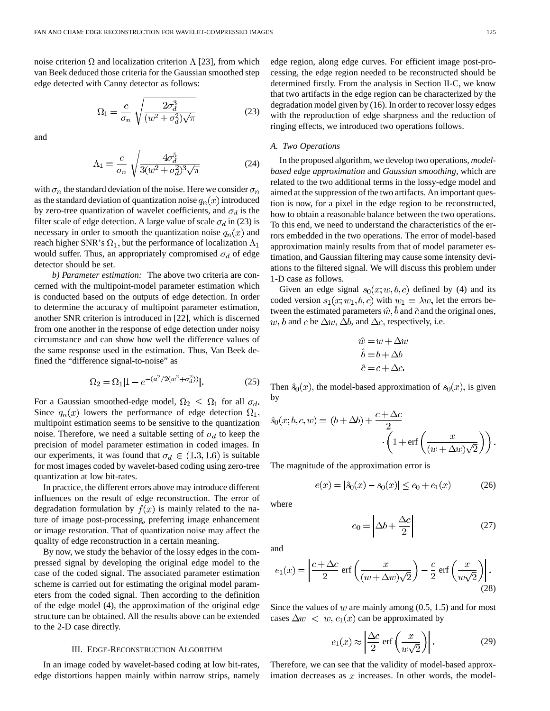noise criterion  $\Omega$  and localization criterion  $\Lambda$  [23], from which van Beek deduced those criteria for the Gaussian smoothed step edge detected with Canny detector as follows:

$$
\Omega_1 = \frac{c}{\sigma_n} \sqrt{\frac{2\sigma_d^3}{(w^2 + \sigma_d^2)\sqrt{\pi}}}
$$
\n(23)

and

$$
\Lambda_1 = \frac{c}{\sigma_n} \sqrt{\frac{4\sigma_d^5}{3(w^2 + \sigma_d^2)^3 \sqrt{\pi}}}
$$
 (24)

with  $\sigma_n$  the standard deviation of the noise. Here we consider  $\sigma_n$ as the standard deviation of quantization noise  $q_n(x)$  introduced by zero-tree quantization of wavelet coefficients, and  $\sigma_d$  is the filter scale of edge detection. A large value of scale  $\sigma_d$  in (23) is necessary in order to smooth the quantization noise  $q_n(x)$  and reach higher SNR's  $\Omega_1$ , but the performance of localization  $\Lambda_1$ would suffer. Thus, an appropriately compromised  $\sigma_d$  of edge detector should be set.

*b) Parameter estimation:* The above two criteria are concerned with the multipoint-model parameter estimation which is conducted based on the outputs of edge detection. In order to determine the accuracy of multipoint parameter estimation, another SNR criterion is introduced in [22], which is discerned from one another in the response of edge detection under noisy circumstance and can show how well the difference values of the same response used in the estimation. Thus, Van Beek defined the "difference signal-to-noise" as

$$
\Omega_2 = \Omega_1 |1 - e^{-(a^2/2(w^2 + \sigma_d^2))}|.
$$
\n(25)

For a Gaussian smoothed-edge model,  $\Omega_2 \leq \Omega_1$  for all  $\sigma_d$ . Since  $q_n(x)$  lowers the performance of edge detection  $\Omega_1$ , multipoint estimation seems to be sensitive to the quantization noise. Therefore, we need a suitable setting of  $\sigma_d$  to keep the precision of model parameter estimation in coded images. In our experiments, it was found that  $\sigma_d \in (1.3, 1.6)$  is suitable for most images coded by wavelet-based coding using zero-tree quantization at low bit-rates.

In practice, the different errors above may introduce different influences on the result of edge reconstruction. The error of degradation formulation by  $f(x)$  is mainly related to the nature of image post-processing, preferring image enhancement or image restoration. That of quantization noise may affect the quality of edge reconstruction in a certain meaning.

By now, we study the behavior of the lossy edges in the compressed signal by developing the original edge model to the case of the coded signal. The associated parameter estimation scheme is carried out for estimating the original model parameters from the coded signal. Then according to the definition of the edge model (4), the approximation of the original edge structure can be obtained. All the results above can be extended to the 2-D case directly.

## III. EDGE-RECONSTRUCTION ALGORITHM

In an image coded by wavelet-based coding at low bit-rates, edge distortions happen mainly within narrow strips, namely edge region, along edge curves. For efficient image post-processing, the edge region needed to be reconstructed should be determined firstly. From the analysis in Section II-C, we know that two artifacts in the edge region can be characterized by the degradation model given by (16). In order to recover lossy edges with the reproduction of edge sharpness and the reduction of ringing effects, we introduced two operations follows.

# *A. Two Operations*

In the proposed algorithm, we develop two operations, *modelbased edge approximation* and *Gaussian smoothing*, which are related to the two additional terms in the lossy-edge model and aimed at the suppression of the two artifacts. An important question is now, for a pixel in the edge region to be reconstructed, how to obtain a reasonable balance between the two operations. To this end, we need to understand the characteristics of the errors embedded in the two operations. The error of model-based approximation mainly results from that of model parameter estimation, and Gaussian filtering may cause some intensity deviations to the filtered signal. We will discuss this problem under 1-D case as follows.

Given an edge signal  $s_0(x; w, b, c)$  defined by (4) and its coded version  $s_1(x; w_1, b, c)$  with  $w_1 = \lambda w$ , let the errors between the estimated parameters  $\hat{w}, \hat{b}$  and  $\hat{c}$  and the original ones, w, b and c be  $\Delta w$ ,  $\Delta b$ , and  $\Delta c$ , respectively, i.e.

$$
\hat{w} = w + \Delta w \n\hat{b} = b + \Delta b \n\hat{c} = c + \Delta c.
$$

Then  $\hat{s}_0(x)$ , the model-based approximation of  $s_0(x)$ , is given by

$$
\hat{s}_0(x;b,c,w) = (b + \Delta b) + \frac{c + \Delta c}{2} \cdot \left(1 + \text{erf}\left(\frac{x}{(w + \Delta w)\sqrt{2}}\right)\right).
$$

The magnitude of the approximation error is

$$
e(x) = |\hat{s}_0(x) - s_0(x)| \le e_0 + e_1(x) \tag{26}
$$

where

$$
e_0 = \left| \Delta b + \frac{\Delta c}{2} \right| \tag{27}
$$

and

$$
e_1(x) = \left| \frac{c + \Delta c}{2} \operatorname{erf}\left(\frac{x}{(w + \Delta w)\sqrt{2}}\right) - \frac{c}{2} \operatorname{erf}\left(\frac{x}{w\sqrt{2}}\right) \right|.
$$
\n(28)

Since the values of  $w$  are mainly among (0.5, 1.5) and for most cases  $\Delta w < w$ ,  $e_1(x)$  can be approximated by

$$
e_1(x) \approx \left| \frac{\Delta c}{2} \operatorname{erf}\left(\frac{x}{w\sqrt{2}}\right) \right|.
$$
 (29)

Therefore, we can see that the validity of model-based approximation decreases as  $x$  increases. In other words, the model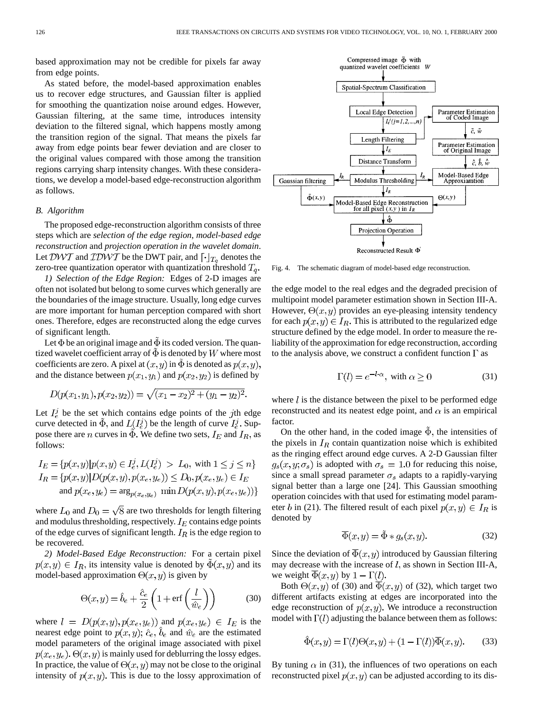based approximation may not be credible for pixels far away from edge points.

As stated before, the model-based approximation enables us to recover edge structures, and Gaussian filter is applied for smoothing the quantization noise around edges. However, Gaussian filtering, at the same time, introduces intensity deviation to the filtered signal, which happens mostly among the transition region of the signal. That means the pixels far away from edge points bear fewer deviation and are closer to the original values compared with those among the transition regions carrying sharp intensity changes. With these considerations, we develop a model-based edge-reconstruction algorithm as follows.

## *B. Algorithm*

The proposed edge-reconstruction algorithm consists of three steps which are *selection of the edge region*, *model-based edge reconstruction* and *projection operation in the wavelet domain*. Let  $\mathcal{DWT}$  and  $\mathcal{IDWT}$  be the DWT pair, and  $\lceil \cdot \rceil_{T_a}$  denotes the zero-tree quantization operator with quantization threshold  $T_q$ .

*1) Selection of the Edge Region:* Edges of 2-D images are often not isolated but belong to some curves which generally are the boundaries of the image structure. Usually, long edge curves are more important for human perception compared with short ones. Therefore, edges are reconstructed along the edge curves of significant length.

Let  $\Phi$  be an original image and  $\Phi$  its coded version. The quantized wavelet coefficient array of  $\Phi$  is denoted by W where most coefficients are zero. A pixel at  $(x, y)$  in  $\Phi$  is denoted as  $p(x, y)$ , and the distance between  $p(x_1, y_1)$  and  $p(x_2, y_2)$  is defined by

$$
D(p(x_1, y_1), p(x_2, y_2)) = \sqrt{(x_1 - x_2)^2 + (y_1 - y_2)^2}.
$$

Let  $I_e^j$  be the set which contains edge points of the jth edge curve detected in  $\Phi$ , and  $L(I_e^j)$  be the length of curve  $I_e^j$ . Suppose there are *n* curves in  $\Phi$ . We define two sets,  $I_E$  and  $I_R$ , as follows:

$$
I_E = \{p(x, y) | p(x, y) \in I_e^j, L(I_e^j) > L_0, \text{ with } 1 \le j \le n\}
$$
  
\n
$$
I_R = \{p(x, y) | D(p(x, y), p(x_e, y_e)) \le D_0, p(x_e, y_e) \in I_E
$$
  
\nand 
$$
p(x_e, y_e) = \arg_{p(x_e, y_e)} \min D(p(x, y), p(x_e, y_e))\}
$$

where  $L_0$  and  $D_0 = \sqrt{8}$  are two thresholds for length filtering and modulus thresholding, respectively.  $I_E$  contains edge points of the edge curves of significant length.  $I_R$  is the edge region to be recovered.

*2) Model-Based Edge Reconstruction:* For a certain pixel  $p(x, y) \in I_R$ , its intensity value is denoted by  $\Phi(x, y)$  and its model-based approximation  $\Theta(x, y)$  is given by

$$
\Theta(x,y) = \hat{b}_e + \frac{\hat{c}_e}{2} \left( 1 + \text{erf}\left(\frac{l}{\hat{w}_e}\right) \right) \tag{30}
$$

where  $l = D(p(x, y), p(x_e, y_e))$  and  $p(x_e, y_e) \in I_E$  is the nearest edge point to  $p(x, y)$ ;  $\hat{c}_e$ ,  $\hat{b}_e$  and  $\hat{w}_e$  are the estimated model parameters of the original image associated with pixel  $p(x_e, y_e)$ .  $\Theta(x, y)$  is mainly used for deblurring the lossy edges. In practice, the value of  $\Theta(x, y)$  may not be close to the original intensity of  $p(x, y)$ . This is due to the lossy approximation of



Fig. 4. The schematic diagram of model-based edge reconstruction.

the edge model to the real edges and the degraded precision of multipoint model parameter estimation shown in Section III-A. However,  $\Theta(x, y)$  provides an eye-pleasing intensity tendency for each  $p(x, y) \in I_R$ . This is attributed to the regularized edge structure defined by the edge model. In order to measure the reliability of the approximation for edge reconstruction, according to the analysis above, we construct a confident function  $\Gamma$  as

$$
\Gamma(l) = e^{-l \cdot \alpha}, \text{ with } \alpha \ge 0 \tag{31}
$$

where  $l$  is the distance between the pixel to be performed edge reconstructed and its neatest edge point, and  $\alpha$  is an empirical factor.

On the other hand, in the coded image  $\tilde{\Phi}$ , the intensities of the pixels in  $I_R$  contain quantization noise which is exhibited as the ringing effect around edge curves. A 2-D Gaussian filter  $g_s(x, y; \sigma_s)$  is adopted with  $\sigma_s = 1.0$  for reducing this noise, since a small spread parameter  $\sigma_s$  adapts to a rapidly-varying signal better than a large one [24]. This Gaussian smoothing operation coincides with that used for estimating model parameter b in (21). The filtered result of each pixel  $p(x, y) \in I_R$  is denoted by

$$
\overline{\Phi}(x,y) = \tilde{\Phi} * g_s(x,y). \tag{32}
$$

Since the deviation of  $\overline{\Phi}(x, y)$  introduced by Gaussian filtering may decrease with the increase of  $l$ , as shown in Section III-A, we weight  $\overline{\Phi}(x, y)$  by  $1 - \Gamma(l)$ .

Both  $\Theta(x, y)$  of (30) and  $\overline{\Phi}(x, y)$  of (32), which target two different artifacts existing at edges are incorporated into the edge reconstruction of  $p(x, y)$ . We introduce a reconstruction model with  $\Gamma(l)$  adjusting the balance between them as follows:

$$
\hat{\Phi}(x,y) = \Gamma(l)\Theta(x,y) + (1 - \Gamma(l))\overline{\Phi}(x,y). \tag{33}
$$

By tuning  $\alpha$  in (31), the influences of two operations on each reconstructed pixel  $p(x, y)$  can be adjusted according to its dis-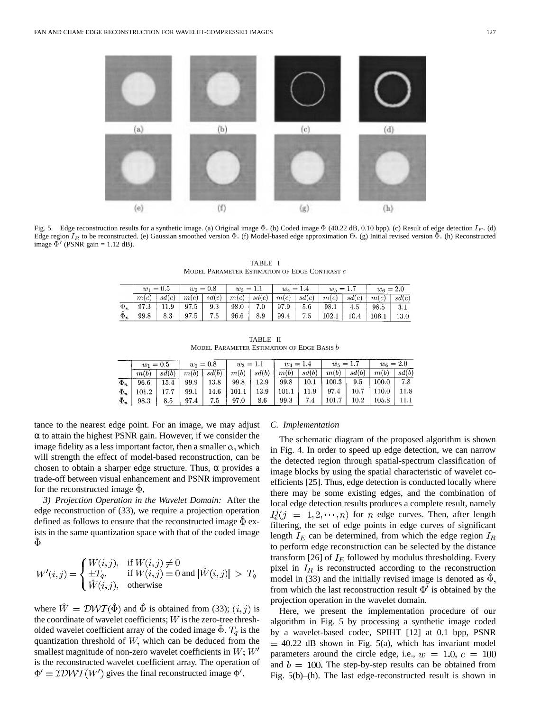![](_page_7_Figure_1.jpeg)

Fig. 5. Edge reconstruction results for a synthetic image. (a) Original image  $\Phi$ . (b) Coded image  $\bar{\Phi}$  (40.22 dB, 0.10 bpp). (c) Result of edge detection  $I_E$ . (d) Edge region  $I_R$  to be reconstructed. (e) Gaussian smoothed version  $\overline{\Phi}$ . (f) Model-based edge approximation  $\Theta$ . (g) Initial revised version  $\hat{\Phi}$ . (h) Reconstructed image  $\Phi'$  (PSNR gain = 1.12 dB).

TABLE I MODEL PARAMETER ESTIMATION OF EDGE CONTRAST  $\boldsymbol{c}$ 

|          | $w_1 = 0.5$ |              | $w_2 = 0.8$ |       | $w_3 = 1.1$ |       | $w_4 = 1.4$ |       | $w_5 = 1.7$ |       | $w_6 = 2.0$ |          |
|----------|-------------|--------------|-------------|-------|-------------|-------|-------------|-------|-------------|-------|-------------|----------|
|          | m(c)        | sd(c)        | m(c)        | sd(c) | m(c)        | sd(c) | m(c)        | sd(c) | m(c)        | sd(c) | m(c)        | sd(c)    |
| $\Phi_n$ | 97.3        | ∣Q           | 97.5        | 9.3   | 98.0        | 7.0   | 97.9        | 5.6   | 98.1        | 4.5   | 98.5        | 31       |
| $\Phi_n$ | 99.8        | $_{\rm 8.3}$ |             | 7.6   | 96.6        | 8.9   | 99.4        | 7.5   | $102.1\,$   | 10.4  | $106.1\,$   | $13.0\,$ |

TABLE II MODEL PARAMETER ESTIMATION OF EDGE BASIS  $b$ 

|          | $w_1 = 0.5$ |       | $w_2 = 0.8$ |       | $w_3 = 1.1$ |       | $w_4 = 1.4$ |       | $w_5 = 1.7$ |          | $w_6 = 2.0$ |       |
|----------|-------------|-------|-------------|-------|-------------|-------|-------------|-------|-------------|----------|-------------|-------|
|          | m(b)        | sd(b) | m(b)        | sd(b) | m(b)        | sd(b) | m(b)        | sd(b) | m(b)        | sd(b)    | m(b)        | sd(b) |
| $\Phi_n$ | 96.6        | 15.4  | 99.9        | 13.8  | 99.8        | 12.9  | 99.8        | 10.1  | 100.3       | 9.5      | 100.0       | 7.8   |
| $\Phi_n$ | 101.2       | 177   | 99.1        | 14.6  | 101.1       | 13.9  | 101.1       | 11.9  | 97.4        | 10.7     | 110.0       | 11.8  |
| $\Phi_n$ | 98.3        | 8.5   | 97.4        | 7.5   | 97.0        | 8.6   | 99.3        |       | 101.7       | $10.2\,$ | 105.8       |       |

tance to the nearest edge point. For an image, we may adjust  $\alpha$  to attain the highest PSNR gain. However, if we consider the image fidelity as a less important factor, then a smaller  $\alpha$ , which will strength the effect of model-based reconstruction, can be chosen to obtain a sharper edge structure. Thus,  $\alpha$  provides a trade-off between visual enhancement and PSNR improvement for the reconstructed image  $\Phi$ .

*3) Projection Operation in the Wavelet Domain:* After the edge reconstruction of (33), we require a projection operation defined as follows to ensure that the reconstructed image  $\Phi$  exists in the same quantization space with that of the coded image  $\tilde{\Phi}$ 

$$
W'(i,j) = \begin{cases} W(i,j), & \text{if } W(i,j) \neq 0\\ \pm T_q, & \text{if } W(i,j) = 0 \text{ and } |\hat{W}(i,j)| > T_q\\ \hat{W}(i,j), & \text{otherwise} \end{cases}
$$

where  $\hat{W} = \mathcal{D}W\mathcal{T}(\hat{\Phi})$  and  $\hat{\Phi}$  is obtained from (33);  $(i, j)$  is the coordinate of wavelet coefficients;  $W$  is the zero-tree thresholded wavelet coefficient array of the coded image  $\Phi$ .  $T_q$  is the quantization threshold of  $W$ , which can be deduced from the smallest magnitude of non-zero wavelet coefficients in  $W$ ;  $W'$ is the reconstructed wavelet coefficient array. The operation of  $\Phi' = \mathcal{IDWT}(W')$  gives the final reconstructed image  $\Phi'$ .

#### *C. Implementation*

The schematic diagram of the proposed algorithm is shown in Fig. 4. In order to speed up edge detection, we can narrow the detected region through spatial-spectrum classification of image blocks by using the spatial characteristic of wavelet coefficients [25]. Thus, edge detection is conducted locally where there may be some existing edges, and the combination of local edge detection results produces a complete result, namely  $I_e^j(j = 1, 2, \dots, n)$  for *n* edge curves. Then, after length filtering, the set of edge points in edge curves of significant length  $I_E$  can be determined, from which the edge region  $I_R$ to perform edge reconstruction can be selected by the distance transform [26] of  $I_E$  followed by modulus thresholding. Every pixel in  $I_R$  is reconstructed according to the reconstruction model in (33) and the initially revised image is denoted as  $\Phi$ , from which the last reconstruction result  $\Phi'$  is obtained by the projection operation in the wavelet domain.

Here, we present the implementation procedure of our algorithm in Fig. 5 by processing a synthetic image coded by a wavelet-based codec, SPIHT [12] at 0.1 bpp, PSNR  $=$  40.22 dB shown in Fig. 5(a), which has invariant model parameters around the circle edge, i.e.,  $w = 1.0$ ,  $c = 100$ and  $b = 100$ . The step-by-step results can be obtained from Fig. 5(b)–(h). The last edge-reconstructed result is shown in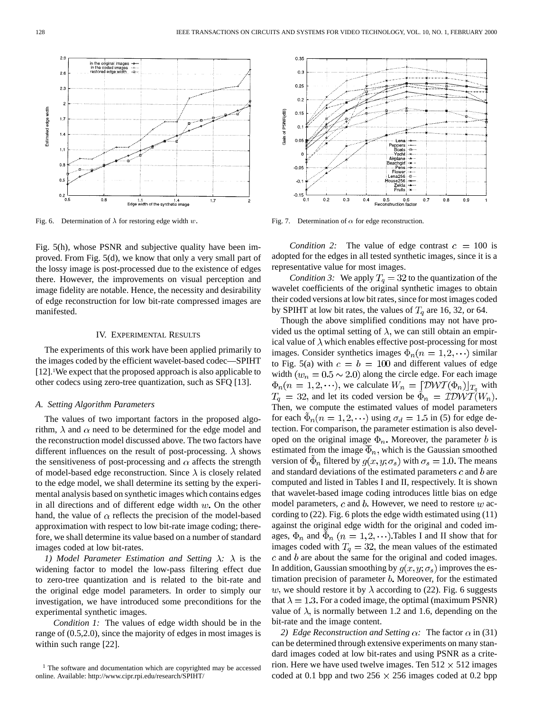![](_page_8_Figure_1.jpeg)

Fig. 6. Determination of  $\lambda$  for restoring edge width w.

Fig. 5(h), whose PSNR and subjective quality have been improved. From Fig. 5(d), we know that only a very small part of the lossy image is post-processed due to the existence of edges there. However, the improvements on visual perception and image fidelity are notable. Hence, the necessity and desirability of edge reconstruction for low bit-rate compressed images are manifested.

#### IV. EXPERIMENTAL RESULTS

The experiments of this work have been applied primarily to the images coded by the efficient wavelet-based codec—SPIHT [12].1We expect that the proposed approach is also applicable to other codecs using zero-tree quantization, such as SFQ [13].

#### *A. Setting Algorithm Parameters*

The values of two important factors in the proposed algorithm,  $\lambda$  and  $\alpha$  need to be determined for the edge model and the reconstruction model discussed above. The two factors have different influences on the result of post-processing.  $\lambda$  shows the sensitiveness of post-processing and  $\alpha$  affects the strength of model-based edge reconstruction. Since  $\lambda$  is closely related to the edge model, we shall determine its setting by the experimental analysis based on synthetic images which contains edges in all directions and of different edge width  $w$ . On the other hand, the value of  $\alpha$  reflects the precision of the model-based approximation with respect to low bit-rate image coding; therefore, we shall determine its value based on a number of standard images coded at low bit-rates.

*1) Model Parameter Estimation and Setting*  $\lambda$ :  $\lambda$  is the widening factor to model the low-pass filtering effect due to zero-tree quantization and is related to the bit-rate and the original edge model parameters. In order to simply our investigation, we have introduced some preconditions for the experimental synthetic images.

*Condition 1:* The values of edge width should be in the range of (0.5,2.0), since the majority of edges in most images is within such range [22].

![](_page_8_Figure_11.jpeg)

Fig. 7. Determination of  $\alpha$  for edge reconstruction.

*Condition 2:* The value of edge contrast  $c = 100$  is adopted for the edges in all tested synthetic images, since it is a representative value for most images.

*Condition 3:* We apply  $T_q = 32$  to the quantization of the wavelet coefficients of the original synthetic images to obtain their coded versions at low bit rates, since for most images coded by SPIHT at low bit rates, the values of  $T_q$  are 16, 32, or 64.

Though the above simplified conditions may not have provided us the optimal setting of  $\lambda$ , we can still obtain an empirical value of  $\lambda$  which enables effective post-processing for most images. Consider synthetics images  $\Phi_n(n = 1, 2, \cdots)$  similar to Fig. 5(a) with  $c = b = 100$  and different values of edge width  $(w_n = 0.5 \sim 2.0)$  along the circle edge. For each image  $\Phi_n(n = 1, 2, \dots)$ , we calculate  $W_n = \left[\mathcal{D} \mathcal{W} \mathcal{T}(\Phi_n)\right]_{T_a}$  with  $T_q = 32$ , and let its coded version be  $\tilde{\Phi}_n = \mathcal{IDWT}(W_n)$ . Then, we compute the estimated values of model parameters for each  $\Phi_n(n = 1, 2, \cdots)$  using  $\sigma_d = 1.5$  in (5) for edge detection. For comparison, the parameter estimation is also developed on the original image  $\Phi_n$ . Moreover, the parameter *b* is estimated from the image  $\overline{\Phi}_n$ , which is the Gaussian smoothed version of  $\Phi_n$  filtered by  $g(x, y; \sigma_s)$  with  $\sigma_s = 1.0$ . The means and standard deviations of the estimated parameters  $c$  and  $b$  are computed and listed in Tables I and II, respectively. It is shown that wavelet-based image coding introduces little bias on edge model parameters,  $c$  and  $b$ . However, we need to restore  $w$  according to (22). Fig. 6 plots the edge width estimated using (11) against the original edge width for the original and coded images,  $\Phi_n$  and  $\Phi_n$   $(n = 1, 2, \cdots)$ . Tables I and II show that for images coded with  $T_q = 32$ , the mean values of the estimated  $c$  and  $b$  are about the same for the original and coded images. In addition, Gaussian smoothing by  $g(x, y; \sigma_s)$  improves the estimation precision of parameter  $b$ . Moreover, for the estimated w, we should restore it by  $\lambda$  according to (22). Fig. 6 suggests that  $\lambda = 1.3$ . For a coded image, the optimal (maximum PSNR) value of  $\lambda$ , is normally between 1.2 and 1.6, depending on the bit-rate and the image content.

*2) Edge Reconstruction and Setting*  $\alpha$ : The factor  $\alpha$  in (31) can be determined through extensive experiments on many standard images coded at low bit-rates and using PSNR as a criterion. Here we have used twelve images. Ten  $512 \times 512$  images coded at 0.1 bpp and two  $256 \times 256$  images coded at 0.2 bpp

<sup>&</sup>lt;sup>1</sup> The software and documentation which are copyrighted may be accessed online. Available: http://www.cipr.rpi.edu/research/SPIHT/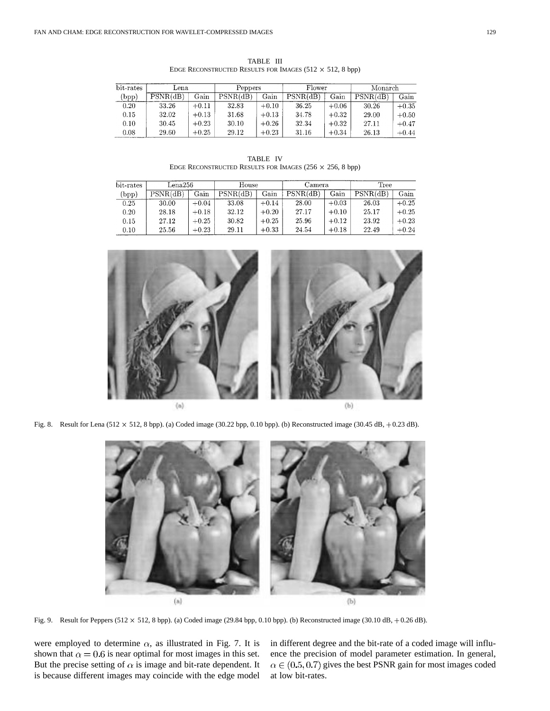bit-rates Lena Peppers Flower Monarch  $(bpp)$  $PSNR(dB)$ Gain  $PSNR(dB)$ Gain  $PSNR(dB)$ Gain  $PSNR(d\overline{B})$ Gain 33.26  $+0.11$ 0.20 32.83  $+0.10$ 36.25  $+0.06$ 30.26  $+0.35$ 32.02  $+0.13$ 34.78 0.15 31.68  $+0.13$  $+0.32$  $29.00\,$  $+0.50$  $0.10$  $+0.23$ 30.10  $+0.26$ 32.34  $+0.32$ 30.45  $27.11$  $+0.47$  $0.08$ 29.60  $+0.25$  $29.12\,$  $+0.23$ 31.16  $+0.34$  $26.13\,$  $+0.44$ 

TABLE III EDGE RECONSTRUCTED RESULTS FOR IMAGES  $(512 \times 512, 8$  bpp)

TABLE IV EDGE RECONSTRUCTED RESULTS FOR IMAGES  $(256 \times 256, 8$  bpp)

| bit-rates | $\rm Lena256$ |                | House    |         | $\rm{Camera}$ |         | Tree     |         |
|-----------|---------------|----------------|----------|---------|---------------|---------|----------|---------|
| (bpp)     | PSNR(dB)      | $_{\rm{Gain}}$ | PSNR(dB) | Gain    | PSNR(dB)      | Gain    | PSNR(dB) | Gain    |
| 0.25      | 30.00         | $+0.04$        | 33.08    | $+0.14$ | 28.00         | $+0.03$ | 26.03    | $+0.25$ |
| 0.20      | 28.18         | $+0.18$        | 32.12    | $+0.20$ | 27.17         | $+0.10$ | 25.17    | $+0.25$ |
| 0.15      | 27.12         | $+0.25$        | 30.82    | $+0.25$ | 25.96         | $+0.12$ | 23.92    | $+0.23$ |
| 0.10      | 25.56         | $+0.23$        | 29.11    | $+0.33$ | 24.54         | $+0.18$ | 22.49    | $+0.24$ |

![](_page_9_Picture_5.jpeg)

Fig. 8. Result for Lena (512 × 512, 8 bpp). (a) Coded image (30.22 bpp, 0.10 bpp). (b) Reconstructed image (30.45 dB, +0.23 dB).

![](_page_9_Picture_7.jpeg)

Fig. 9. Result for Peppers  $(512 \times 512, 8$  bpp). (a) Coded image  $(29.84$  bpp, 0.10 bpp). (b) Reconstructed image  $(30.10 \text{ dB}, +0.26 \text{ dB})$ .

were employed to determine  $\alpha$ , as illustrated in Fig. 7. It is shown that  $\alpha = 0.6$  is near optimal for most images in this set. But the precise setting of  $\alpha$  is image and bit-rate dependent. It is because different images may coincide with the edge model

in different degree and the bit-rate of a coded image will influence the precision of model parameter estimation. In general,  $\alpha \in (0.5, 0.7)$  gives the best PSNR gain for most images coded at low bit-rates.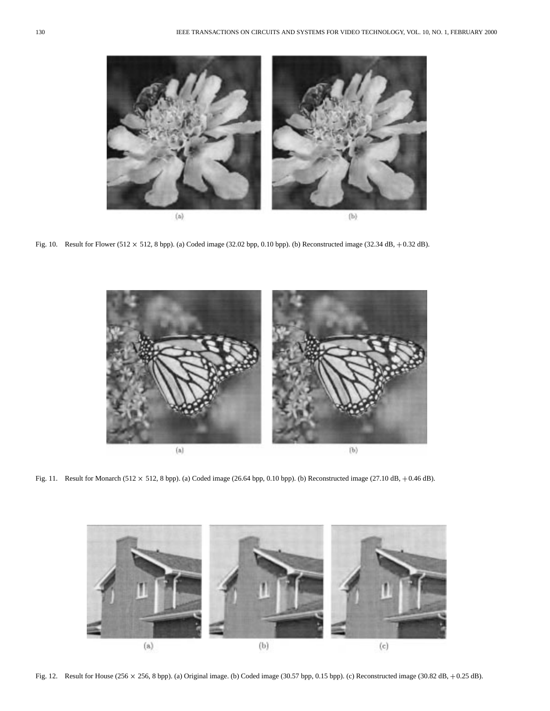![](_page_10_Picture_2.jpeg)

Fig. 10. Result for Flower ( $512 \times 512$ , 8 bpp). (a) Coded image (32.02 bpp, 0.10 bpp). (b) Reconstructed image (32.34 dB,  $+0.32$  dB).

![](_page_10_Figure_4.jpeg)

Fig. 11. Result for Monarch ( $512 \times 512$ , 8 bpp). (a) Coded image (26.64 bpp, 0.10 bpp). (b) Reconstructed image (27.10 dB, +0.46 dB).

![](_page_10_Picture_6.jpeg)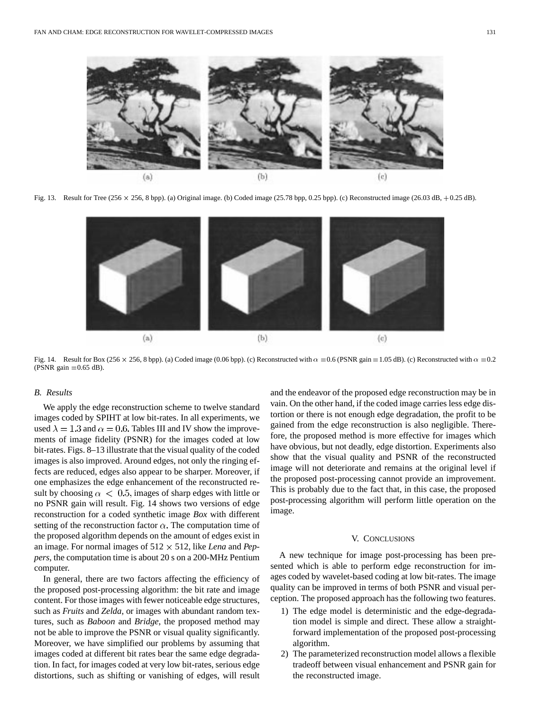![](_page_11_Picture_1.jpeg)

Fig. 13. Result for Tree  $(256 \times 256, 8 \text{ bpp})$ . (a) Original image. (b) Coded image  $(25.78 \text{ bpp})$ . (c) Reconstructed image  $(26.03 \text{ dB}, +0.25 \text{ dB})$ .

![](_page_11_Figure_3.jpeg)

Fig. 14. Result for Box (256  $\times$  256, 8 bpp). (a) Coded image (0.06 bpp). (c) Reconstructed with  $\alpha$  =0.6 (PSNR gain =1.05 dB). (c) Reconstructed with  $\alpha$  =0.2 (PSNR gain  $=$  0.65 dB).

#### *B. Results*

We apply the edge reconstruction scheme to twelve standard images coded by SPIHT at low bit-rates. In all experiments, we used  $\lambda = 1.3$  and  $\alpha = 0.6$ . Tables III and IV show the improvements of image fidelity (PSNR) for the images coded at low bit-rates. Figs. 8–13 illustrate that the visual quality of the coded images is also improved. Around edges, not only the ringing effects are reduced, edges also appear to be sharper. Moreover, if one emphasizes the edge enhancement of the reconstructed result by choosing  $\alpha < 0.5$ , images of sharp edges with little or no PSNR gain will result. Fig. 14 shows two versions of edge reconstruction for a coded synthetic image *Box* with different setting of the reconstruction factor  $\alpha$ . The computation time of the proposed algorithm depends on the amount of edges exist in an image. For normal images of  $512 \times 512$ , like *Lena* and *Peppers*, the computation time is about 20 s on a 200-MHz Pentium computer.

In general, there are two factors affecting the efficiency of the proposed post-processing algorithm: the bit rate and image content. For those images with fewer noticeable edge structures, such as *Fruits* and *Zelda*, or images with abundant random textures, such as *Baboon* and *Bridge*, the proposed method may not be able to improve the PSNR or visual quality significantly. Moreover, we have simplified our problems by assuming that images coded at different bit rates bear the same edge degradation. In fact, for images coded at very low bit-rates, serious edge distortions, such as shifting or vanishing of edges, will result

and the endeavor of the proposed edge reconstruction may be in vain. On the other hand, if the coded image carries less edge distortion or there is not enough edge degradation, the profit to be gained from the edge reconstruction is also negligible. Therefore, the proposed method is more effective for images which have obvious, but not deadly, edge distortion. Experiments also show that the visual quality and PSNR of the reconstructed image will not deteriorate and remains at the original level if the proposed post-processing cannot provide an improvement. This is probably due to the fact that, in this case, the proposed post-processing algorithm will perform little operation on the image.

# V. CONCLUSIONS

A new technique for image post-processing has been presented which is able to perform edge reconstruction for images coded by wavelet-based coding at low bit-rates. The image quality can be improved in terms of both PSNR and visual perception. The proposed approach has the following two features.

- 1) The edge model is deterministic and the edge-degradation model is simple and direct. These allow a straightforward implementation of the proposed post-processing algorithm.
- 2) The parameterized reconstruction model allows a flexible tradeoff between visual enhancement and PSNR gain for the reconstructed image.